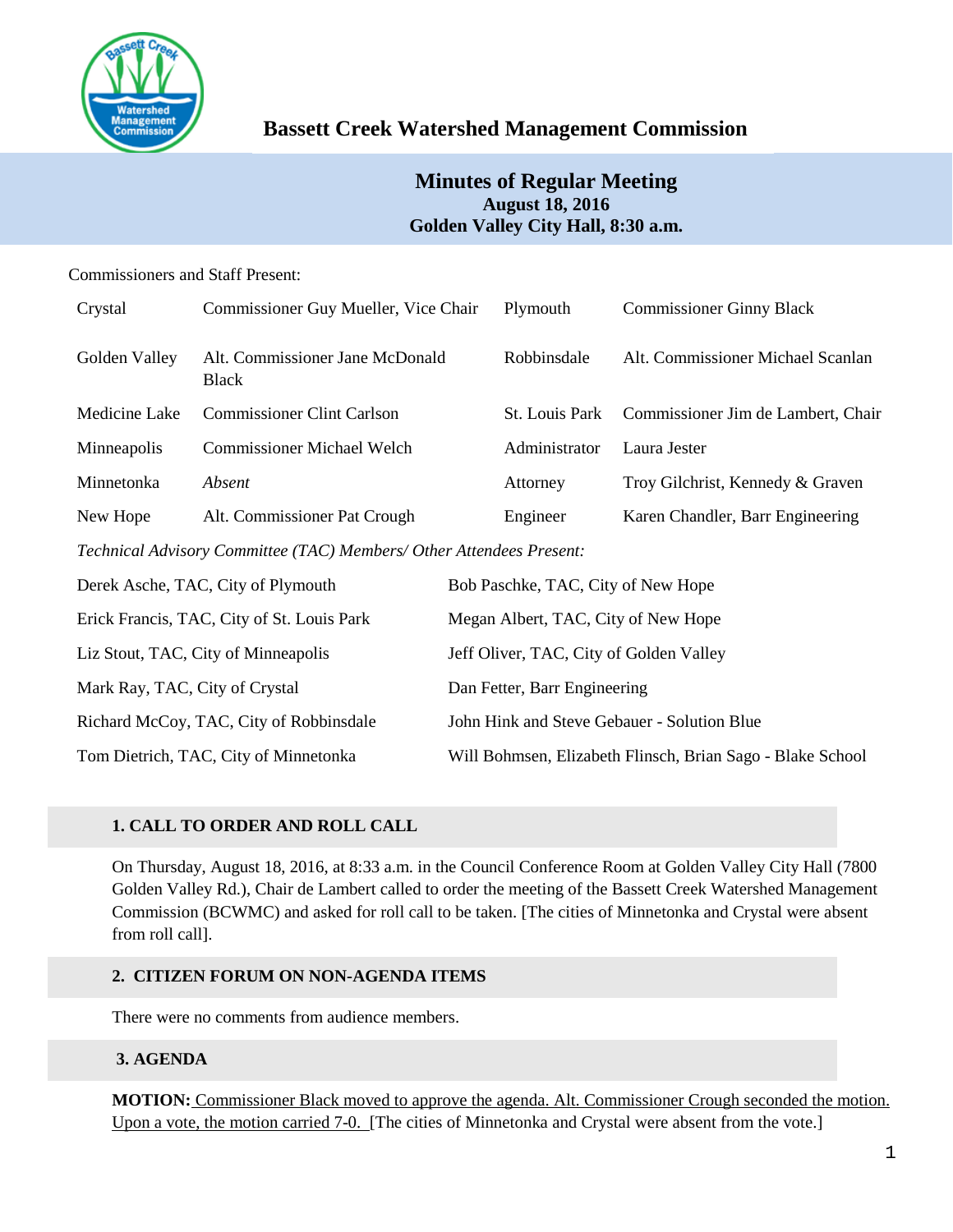

# **Bassett Creek Watershed Management Commission**

# **Minutes of Regular Meeting August 18, 2016 Golden Valley City Hall, 8:30 a.m.**

# Commissioners and Staff Present:

| Crystal                                                              | Commissioner Guy Mueller, Vice Chair            |                                                            | Plymouth       | <b>Commissioner Ginny Black</b>    |  |  |
|----------------------------------------------------------------------|-------------------------------------------------|------------------------------------------------------------|----------------|------------------------------------|--|--|
| Golden Valley                                                        | Alt. Commissioner Jane McDonald<br><b>Black</b> |                                                            | Robbinsdale    | Alt. Commissioner Michael Scanlan  |  |  |
| Medicine Lake                                                        | <b>Commissioner Clint Carlson</b>               |                                                            | St. Louis Park | Commissioner Jim de Lambert, Chair |  |  |
| Minneapolis                                                          | <b>Commissioner Michael Welch</b>               |                                                            | Administrator  | Laura Jester                       |  |  |
| Minnetonka                                                           | Absent                                          |                                                            | Attorney       | Troy Gilchrist, Kennedy & Graven   |  |  |
| New Hope                                                             | Alt. Commissioner Pat Crough                    |                                                            | Engineer       | Karen Chandler, Barr Engineering   |  |  |
| Technical Advisory Committee (TAC) Members/ Other Attendees Present: |                                                 |                                                            |                |                                    |  |  |
| Derek Asche, TAC, City of Plymouth                                   |                                                 | Bob Paschke, TAC, City of New Hope                         |                |                                    |  |  |
| Erick Francis, TAC, City of St. Louis Park                           |                                                 | Megan Albert, TAC, City of New Hope                        |                |                                    |  |  |
| Liz Stout, TAC, City of Minneapolis                                  |                                                 | Jeff Oliver, TAC, City of Golden Valley                    |                |                                    |  |  |
| Mark Ray, TAC, City of Crystal                                       |                                                 | Dan Fetter, Barr Engineering                               |                |                                    |  |  |
| Richard McCoy, TAC, City of Robbinsdale                              |                                                 | John Hink and Steve Gebauer - Solution Blue                |                |                                    |  |  |
| Tom Dietrich, TAC, City of Minnetonka                                |                                                 | Will Bohmsen, Elizabeth Flinsch, Brian Sago - Blake School |                |                                    |  |  |

# **1. CALL TO ORDER AND ROLL CALL**

On Thursday, August 18, 2016, at 8:33 a.m. in the Council Conference Room at Golden Valley City Hall (7800 Golden Valley Rd.), Chair de Lambert called to order the meeting of the Bassett Creek Watershed Management Commission (BCWMC) and asked for roll call to be taken. [The cities of Minnetonka and Crystal were absent from roll call].

# **2. CITIZEN FORUM ON NON-AGENDA ITEMS**

There were no comments from audience members.

# **3. AGENDA**

**MOTION:** Commissioner Black moved to approve the agenda. Alt. Commissioner Crough seconded the motion. Upon a vote, the motion carried 7-0. [The cities of Minnetonka and Crystal were absent from the vote.]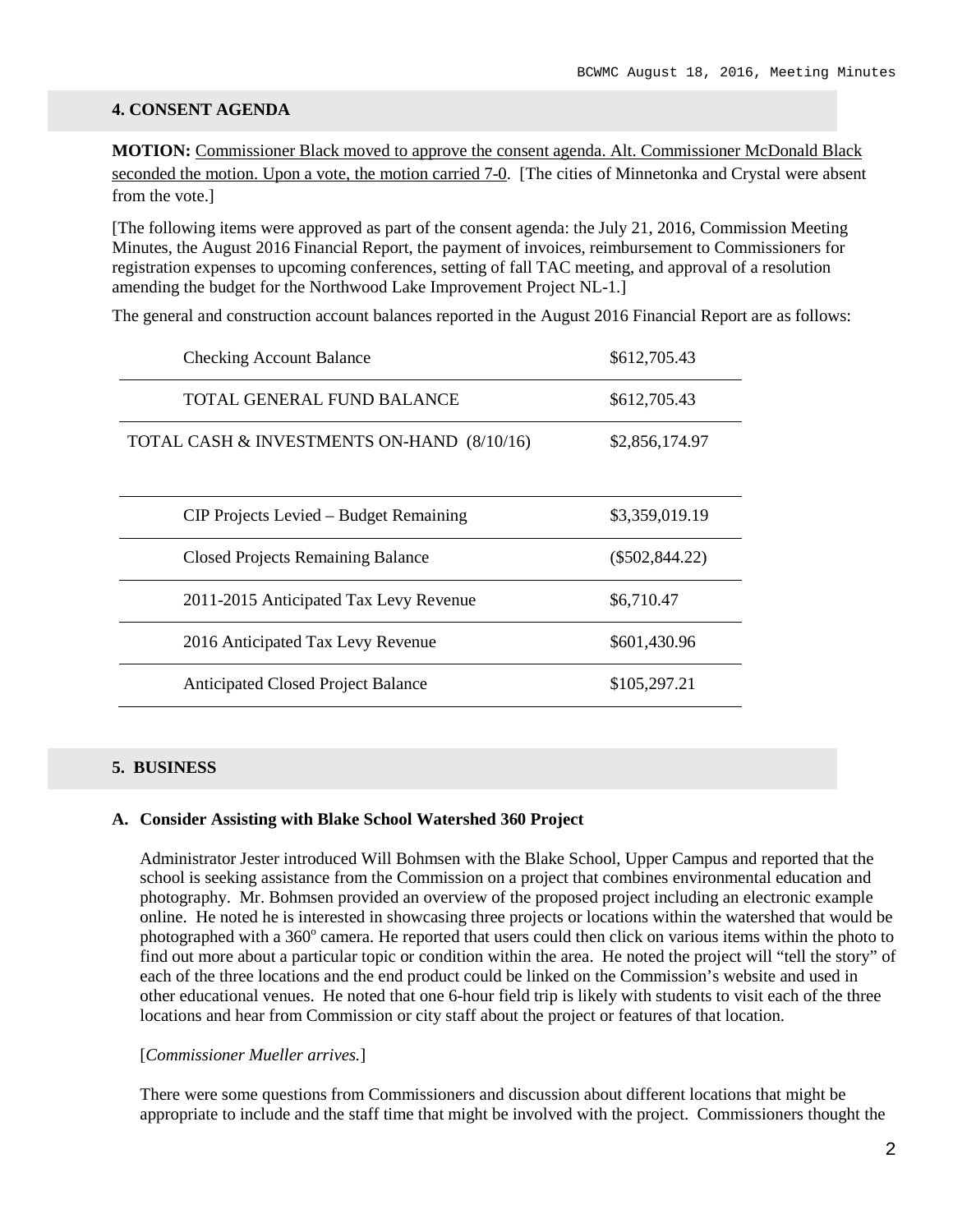#### **4. CONSENT AGENDA**

**MOTION:** Commissioner Black moved to approve the consent agenda. Alt. Commissioner McDonald Black seconded the motion. Upon a vote, the motion carried 7-0. [The cities of Minnetonka and Crystal were absent from the vote.]

[The following items were approved as part of the consent agenda: the July 21, 2016, Commission Meeting Minutes, the August 2016 Financial Report, the payment of invoices, reimbursement to Commissioners for registration expenses to upcoming conferences, setting of fall TAC meeting, and approval of a resolution amending the budget for the Northwood Lake Improvement Project NL-1.]

The general and construction account balances reported in the August 2016 Financial Report are as follows:

| <b>Checking Account Balance</b>            | \$612,705.43     |
|--------------------------------------------|------------------|
| TOTAL GENERAL FUND BALANCE                 | \$612,705.43     |
| TOTAL CASH & INVESTMENTS ON-HAND (8/10/16) | \$2,856,174.97   |
| CIP Projects Levied – Budget Remaining     | \$3,359,019.19   |
| <b>Closed Projects Remaining Balance</b>   | $(\$502,844.22)$ |
| 2011-2015 Anticipated Tax Levy Revenue     | \$6,710.47       |
| 2016 Anticipated Tax Levy Revenue          | \$601,430.96     |
| <b>Anticipated Closed Project Balance</b>  | \$105,297.21     |

### **5. BUSINESS**

#### **A. Consider Assisting with Blake School Watershed 360 Project**

Administrator Jester introduced Will Bohmsen with the Blake School, Upper Campus and reported that the school is seeking assistance from the Commission on a project that combines environmental education and photography. Mr. Bohmsen provided an overview of the proposed project including an electronic example online. He noted he is interested in showcasing three projects or locations within the watershed that would be photographed with a  $360^{\circ}$  camera. He reported that users could then click on various items within the photo to find out more about a particular topic or condition within the area. He noted the project will "tell the story" of each of the three locations and the end product could be linked on the Commission's website and used in other educational venues. He noted that one 6-hour field trip is likely with students to visit each of the three locations and hear from Commission or city staff about the project or features of that location.

#### [*Commissioner Mueller arrives.*]

There were some questions from Commissioners and discussion about different locations that might be appropriate to include and the staff time that might be involved with the project. Commissioners thought the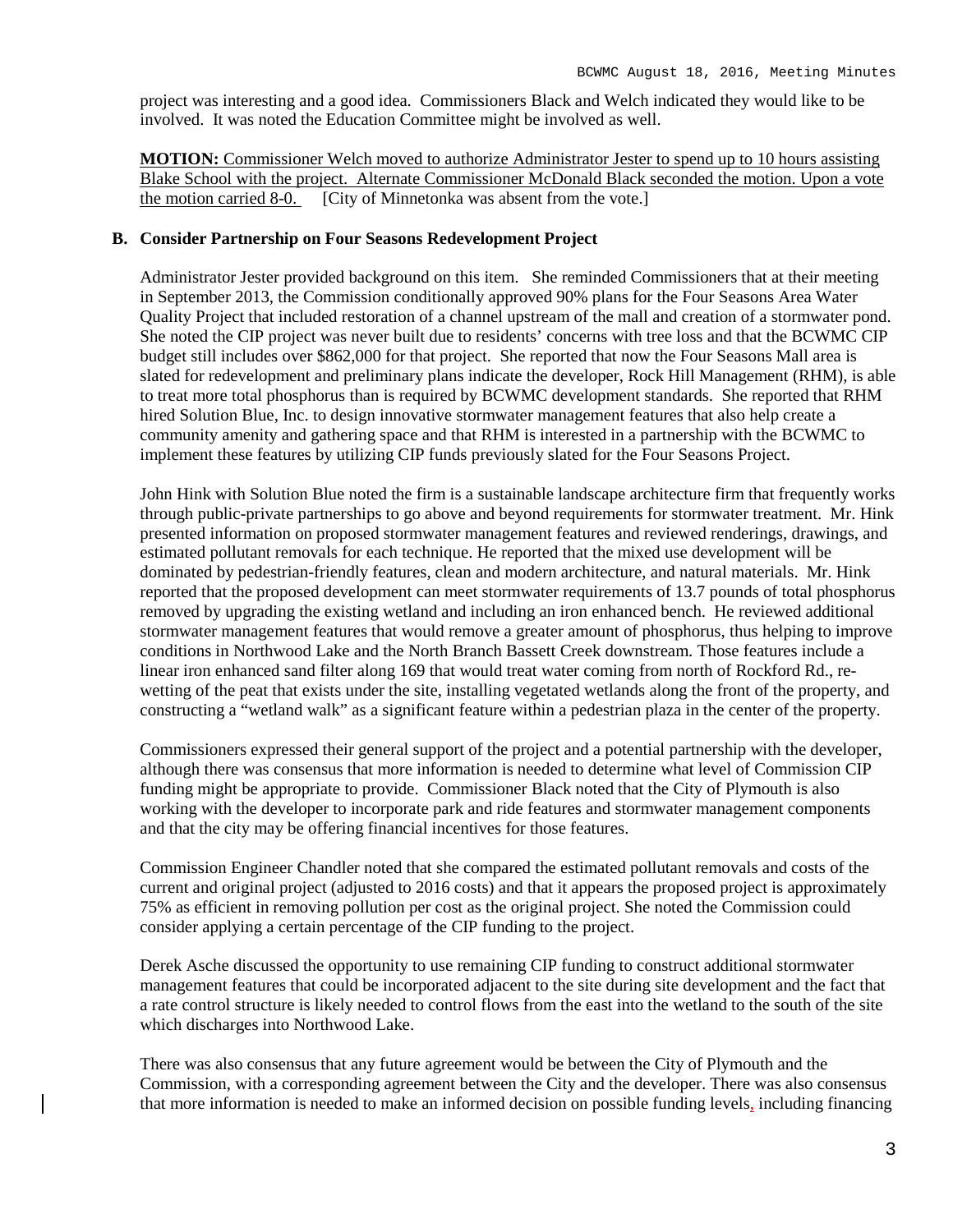project was interesting and a good idea. Commissioners Black and Welch indicated they would like to be involved. It was noted the Education Committee might be involved as well.

**MOTION:** Commissioner Welch moved to authorize Administrator Jester to spend up to 10 hours assisting Blake School with the project. Alternate Commissioner McDonald Black seconded the motion. Upon a vote the motion carried 8-0. [City of Minnetonka was absent from the vote.]

#### **B. Consider Partnership on Four Seasons Redevelopment Project**

Administrator Jester provided background on this item. She reminded Commissioners that at their meeting in September 2013, the Commission conditionally approved 90% plans for the Four Seasons Area Water Quality Project that included restoration of a channel upstream of the mall and creation of a stormwater pond. She noted the CIP project was never built due to residents' concerns with tree loss and that the BCWMC CIP budget still includes over \$862,000 for that project. She reported that now the Four Seasons Mall area is slated for redevelopment and preliminary plans indicate the developer, Rock Hill Management (RHM), is able to treat more total phosphorus than is required by BCWMC development standards. She reported that RHM hired Solution Blue, Inc. to design innovative stormwater management features that also help create a community amenity and gathering space and that RHM is interested in a partnership with the BCWMC to implement these features by utilizing CIP funds previously slated for the Four Seasons Project.

John Hink with Solution Blue noted the firm is a sustainable landscape architecture firm that frequently works through public-private partnerships to go above and beyond requirements for stormwater treatment. Mr. Hink presented information on proposed stormwater management features and reviewed renderings, drawings, and estimated pollutant removals for each technique. He reported that the mixed use development will be dominated by pedestrian-friendly features, clean and modern architecture, and natural materials. Mr. Hink reported that the proposed development can meet stormwater requirements of 13.7 pounds of total phosphorus removed by upgrading the existing wetland and including an iron enhanced bench. He reviewed additional stormwater management features that would remove a greater amount of phosphorus, thus helping to improve conditions in Northwood Lake and the North Branch Bassett Creek downstream. Those features include a linear iron enhanced sand filter along 169 that would treat water coming from north of Rockford Rd., rewetting of the peat that exists under the site, installing vegetated wetlands along the front of the property, and constructing a "wetland walk" as a significant feature within a pedestrian plaza in the center of the property.

Commissioners expressed their general support of the project and a potential partnership with the developer, although there was consensus that more information is needed to determine what level of Commission CIP funding might be appropriate to provide. Commissioner Black noted that the City of Plymouth is also working with the developer to incorporate park and ride features and stormwater management components and that the city may be offering financial incentives for those features.

Commission Engineer Chandler noted that she compared the estimated pollutant removals and costs of the current and original project (adjusted to 2016 costs) and that it appears the proposed project is approximately 75% as efficient in removing pollution per cost as the original project. She noted the Commission could consider applying a certain percentage of the CIP funding to the project.

Derek Asche discussed the opportunity to use remaining CIP funding to construct additional stormwater management features that could be incorporated adjacent to the site during site development and the fact that a rate control structure is likely needed to control flows from the east into the wetland to the south of the site which discharges into Northwood Lake.

There was also consensus that any future agreement would be between the City of Plymouth and the Commission, with a corresponding agreement between the City and the developer. There was also consensus that more information is needed to make an informed decision on possible funding levels, including financing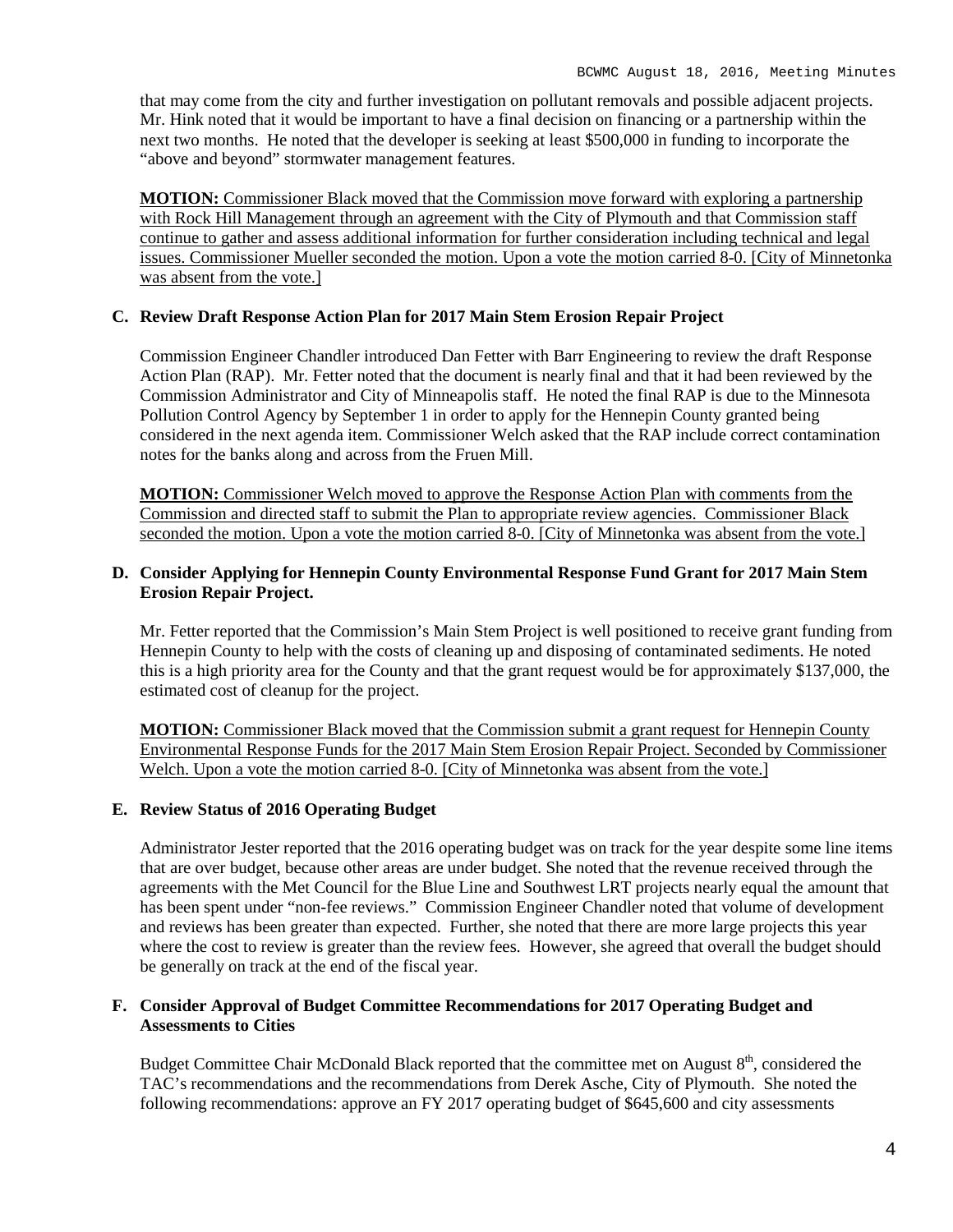that may come from the city and further investigation on pollutant removals and possible adjacent projects. Mr. Hink noted that it would be important to have a final decision on financing or a partnership within the next two months. He noted that the developer is seeking at least \$500,000 in funding to incorporate the "above and beyond" stormwater management features.

**MOTION:** Commissioner Black moved that the Commission move forward with exploring a partnership with Rock Hill Management through an agreement with the City of Plymouth and that Commission staff continue to gather and assess additional information for further consideration including technical and legal issues. Commissioner Mueller seconded the motion. Upon a vote the motion carried 8-0. [City of Minnetonka was absent from the vote.]

# **C. Review Draft Response Action Plan for 2017 Main Stem Erosion Repair Project**

Commission Engineer Chandler introduced Dan Fetter with Barr Engineering to review the draft Response Action Plan (RAP). Mr. Fetter noted that the document is nearly final and that it had been reviewed by the Commission Administrator and City of Minneapolis staff. He noted the final RAP is due to the Minnesota Pollution Control Agency by September 1 in order to apply for the Hennepin County granted being considered in the next agenda item. Commissioner Welch asked that the RAP include correct contamination notes for the banks along and across from the Fruen Mill.

**MOTION:** Commissioner Welch moved to approve the Response Action Plan with comments from the Commission and directed staff to submit the Plan to appropriate review agencies. Commissioner Black seconded the motion. Upon a vote the motion carried 8-0. [City of Minnetonka was absent from the vote.]

# **D. Consider Applying for Hennepin County Environmental Response Fund Grant for 2017 Main Stem Erosion Repair Project.**

Mr. Fetter reported that the Commission's Main Stem Project is well positioned to receive grant funding from Hennepin County to help with the costs of cleaning up and disposing of contaminated sediments. He noted this is a high priority area for the County and that the grant request would be for approximately \$137,000, the estimated cost of cleanup for the project.

**MOTION:** Commissioner Black moved that the Commission submit a grant request for Hennepin County Environmental Response Funds for the 2017 Main Stem Erosion Repair Project. Seconded by Commissioner Welch. Upon a vote the motion carried 8-0. [City of Minnetonka was absent from the vote.]

### **E. Review Status of 2016 Operating Budget**

Administrator Jester reported that the 2016 operating budget was on track for the year despite some line items that are over budget, because other areas are under budget. She noted that the revenue received through the agreements with the Met Council for the Blue Line and Southwest LRT projects nearly equal the amount that has been spent under "non-fee reviews." Commission Engineer Chandler noted that volume of development and reviews has been greater than expected. Further, she noted that there are more large projects this year where the cost to review is greater than the review fees. However, she agreed that overall the budget should be generally on track at the end of the fiscal year.

#### **F. Consider Approval of Budget Committee Recommendations for 2017 Operating Budget and Assessments to Cities**

Budget Committee Chair McDonald Black reported that the committee met on August 8<sup>th</sup>, considered the TAC's recommendations and the recommendations from Derek Asche, City of Plymouth. She noted the following recommendations: approve an FY 2017 operating budget of \$645,600 and city assessments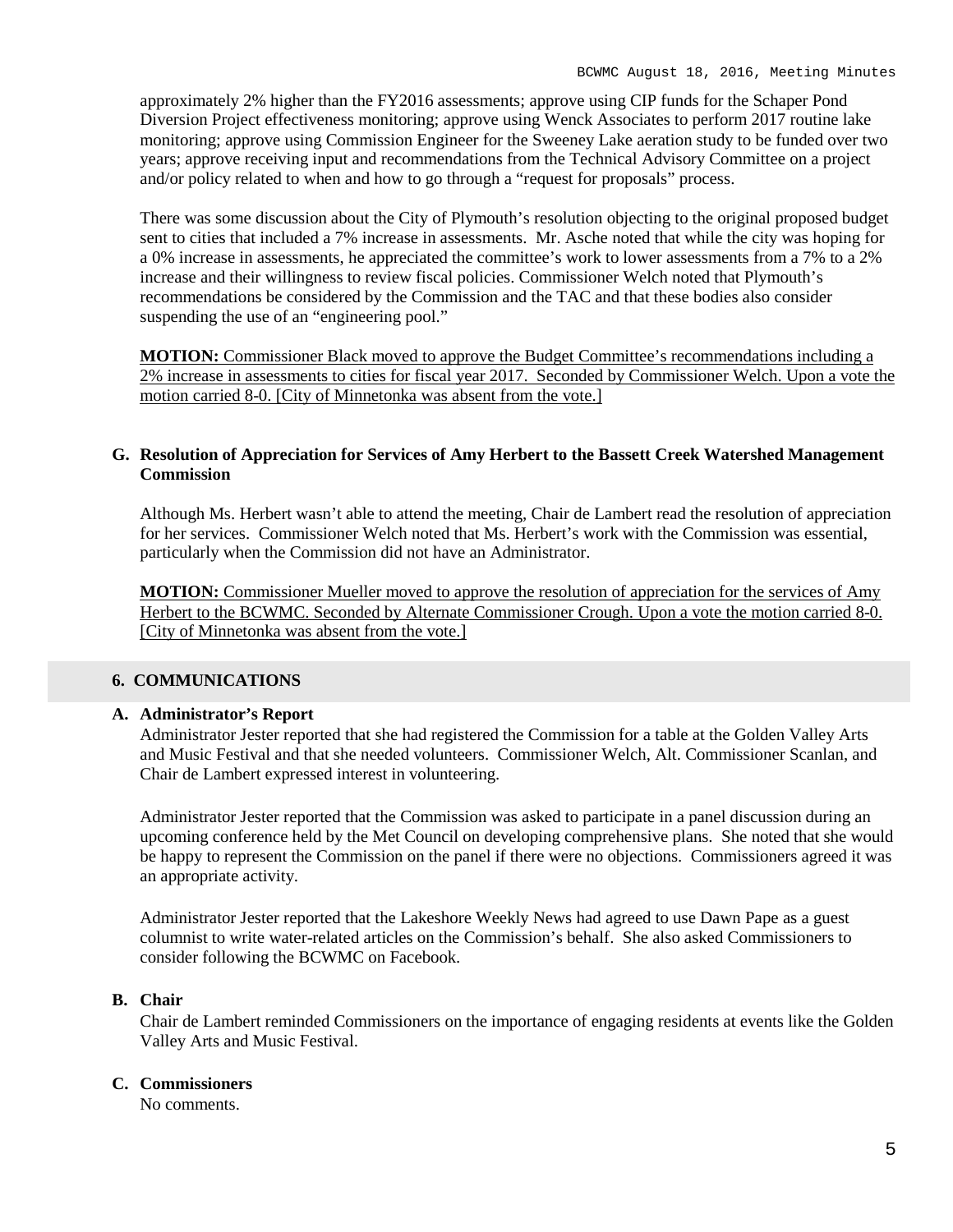approximately 2% higher than the FY2016 assessments; approve using CIP funds for the Schaper Pond Diversion Project effectiveness monitoring; approve using Wenck Associates to perform 2017 routine lake monitoring; approve using Commission Engineer for the Sweeney Lake aeration study to be funded over two years; approve receiving input and recommendations from the Technical Advisory Committee on a project and/or policy related to when and how to go through a "request for proposals" process.

There was some discussion about the City of Plymouth's resolution objecting to the original proposed budget sent to cities that included a 7% increase in assessments. Mr. Asche noted that while the city was hoping for a 0% increase in assessments, he appreciated the committee's work to lower assessments from a 7% to a 2% increase and their willingness to review fiscal policies. Commissioner Welch noted that Plymouth's recommendations be considered by the Commission and the TAC and that these bodies also consider suspending the use of an "engineering pool."

**MOTION:** Commissioner Black moved to approve the Budget Committee's recommendations including a 2% increase in assessments to cities for fiscal year 2017. Seconded by Commissioner Welch. Upon a vote the motion carried 8-0. [City of Minnetonka was absent from the vote.]

### **G. Resolution of Appreciation for Services of Amy Herbert to the Bassett Creek Watershed Management Commission**

Although Ms. Herbert wasn't able to attend the meeting, Chair de Lambert read the resolution of appreciation for her services. Commissioner Welch noted that Ms. Herbert's work with the Commission was essential, particularly when the Commission did not have an Administrator.

**MOTION:** Commissioner Mueller moved to approve the resolution of appreciation for the services of Amy Herbert to the BCWMC. Seconded by Alternate Commissioner Crough. Upon a vote the motion carried 8-0. [City of Minnetonka was absent from the vote.]

### **6. COMMUNICATIONS**

### **A. Administrator's Report**

Administrator Jester reported that she had registered the Commission for a table at the Golden Valley Arts and Music Festival and that she needed volunteers. Commissioner Welch, Alt. Commissioner Scanlan, and Chair de Lambert expressed interest in volunteering.

Administrator Jester reported that the Commission was asked to participate in a panel discussion during an upcoming conference held by the Met Council on developing comprehensive plans. She noted that she would be happy to represent the Commission on the panel if there were no objections. Commissioners agreed it was an appropriate activity.

Administrator Jester reported that the Lakeshore Weekly News had agreed to use Dawn Pape as a guest columnist to write water-related articles on the Commission's behalf. She also asked Commissioners to consider following the BCWMC on Facebook.

# **B. Chair**

Chair de Lambert reminded Commissioners on the importance of engaging residents at events like the Golden Valley Arts and Music Festival.

#### **C. Commissioners**

No comments.